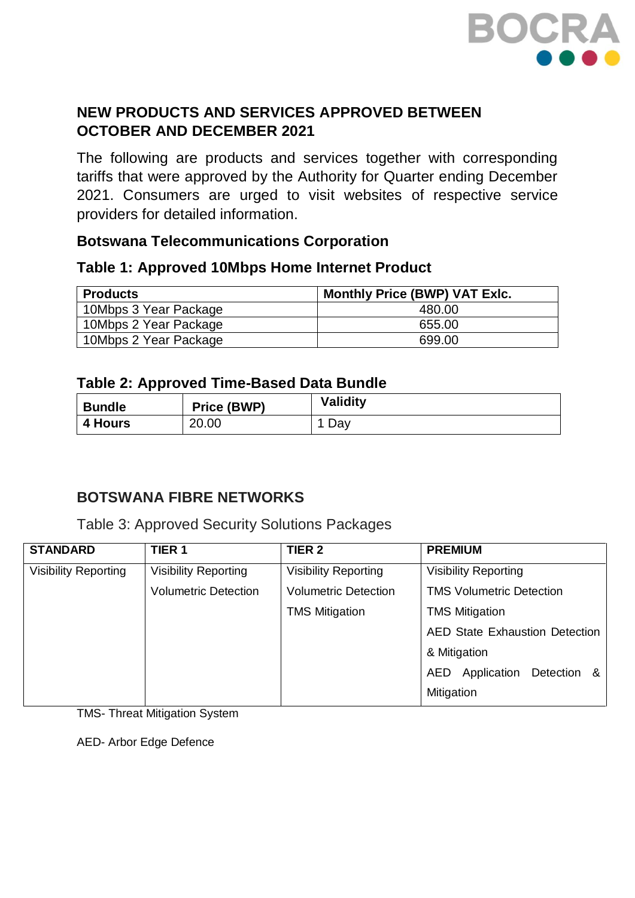

## **NEW PRODUCTS AND SERVICES APPROVED BETWEEN OCTOBER AND DECEMBER 2021**

The following are products and services together with corresponding tariffs that were approved by the Authority for Quarter ending December 2021. Consumers are urged to visit websites of respective service providers for detailed information.

### **Botswana Telecommunications Corporation**

#### **Table 1: Approved 10Mbps Home Internet Product**

| <b>Products</b>       | <b>Monthly Price (BWP) VAT Exlc.</b> |
|-----------------------|--------------------------------------|
| 10Mbps 3 Year Package | 480.00                               |
| 10Mbps 2 Year Package | 655.00                               |
| 10Mbps 2 Year Package | 699.00                               |

### **Table 2: Approved Time-Based Data Bundle**

| <b>Bundle</b>  | Price (BWP) | <b>Validity</b> |
|----------------|-------------|-----------------|
| <b>4 Hours</b> | 20.00       | Day             |

### **BOTSWANA FIBRE NETWORKS**

Table 3: Approved Security Solutions Packages

| <b>STANDARD</b>             | TIER <sub>1</sub>           | TIER <sub>2</sub>           | <b>PREMIUM</b>                        |  |
|-----------------------------|-----------------------------|-----------------------------|---------------------------------------|--|
| <b>Visibility Reporting</b> | <b>Visibility Reporting</b> | <b>Visibility Reporting</b> | <b>Visibility Reporting</b>           |  |
|                             | <b>Volumetric Detection</b> | <b>Volumetric Detection</b> | <b>TMS Volumetric Detection</b>       |  |
|                             |                             | <b>TMS Mitigation</b>       | <b>TMS Mitigation</b>                 |  |
|                             |                             |                             | <b>AED State Exhaustion Detection</b> |  |
|                             |                             |                             | & Mitigation                          |  |
|                             |                             |                             | Application<br>Detection &<br>AED     |  |
|                             |                             |                             | Mitigation                            |  |

TMS- Threat Mitigation System

AED- Arbor Edge Defence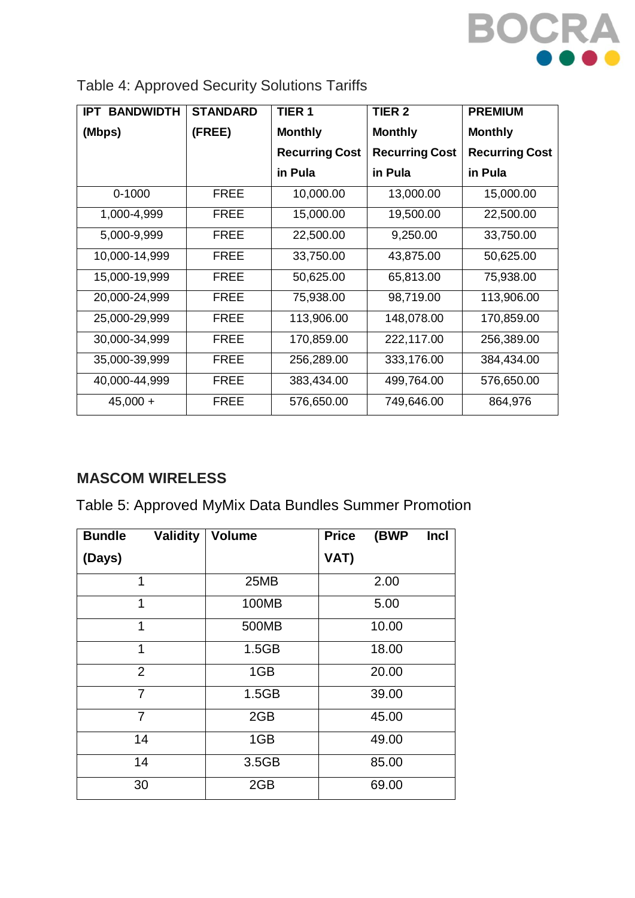

| <b>BANDWIDTH</b><br><b>IPT</b> | <b>STANDARD</b> | TIER <sub>1</sub><br>TIER <sub>2</sub> |                       | <b>PREMIUM</b>        |
|--------------------------------|-----------------|----------------------------------------|-----------------------|-----------------------|
| (Mbps)                         | (FREE)          | <b>Monthly</b>                         | <b>Monthly</b>        | <b>Monthly</b>        |
|                                |                 | <b>Recurring Cost</b>                  | <b>Recurring Cost</b> | <b>Recurring Cost</b> |
|                                |                 | in Pula                                | in Pula               | in Pula               |
| $0 - 1000$                     | <b>FREE</b>     | 10,000.00                              | 13,000.00             | 15,000.00             |
| 1,000-4,999                    | <b>FREE</b>     | 15,000.00                              | 19,500.00             | 22,500.00             |
| 5,000-9,999                    | <b>FREE</b>     | 22,500.00                              | 9,250.00              | 33,750.00             |
| 10,000-14,999                  | <b>FREE</b>     | 33,750.00                              | 43,875.00             | 50,625.00             |
| 15,000-19,999                  | <b>FREE</b>     | 50,625.00                              | 65,813.00             | 75,938.00             |
| 20,000-24,999                  | <b>FREE</b>     | 75,938.00                              | 98,719.00             | 113,906.00            |
| 25,000-29,999                  | <b>FREE</b>     | 113,906.00                             | 148,078.00            | 170,859.00            |
| 30,000-34,999                  | <b>FREE</b>     | 170,859.00                             | 222,117.00            | 256,389.00            |
| 35,000-39,999                  | <b>FREE</b>     | 256,289.00                             | 333,176.00            | 384,434.00            |
| 40,000-44,999                  | <b>FREE</b>     | 383,434.00                             | 499,764.00            | 576,650.00            |
| $45,000 +$                     | <b>FREE</b>     | 576,650.00                             | 749,646.00            | 864,976               |

| Table 4: Approved Security Solutions Tariffs |  |  |  |
|----------------------------------------------|--|--|--|
|----------------------------------------------|--|--|--|

# **MASCOM WIRELESS**

Table 5: Approved MyMix Data Bundles Summer Promotion

| <b>Bundle</b><br><b>Validity</b> | <b>Volume</b> | (BWP<br>Incl<br><b>Price</b> |
|----------------------------------|---------------|------------------------------|
| (Days)                           |               | VAT)                         |
| 1                                | 25MB          | 2.00                         |
| 1                                | 100MB         | 5.00                         |
| 1                                | 500MB         | 10.00                        |
| 1                                | 1.5GB         | 18.00                        |
| $\overline{2}$                   | 1GB           | 20.00                        |
| $\overline{7}$                   | 1.5GB         | 39.00                        |
| 7                                | 2GB           | 45.00                        |
| 14                               | 1GB           | 49.00                        |
| 14                               | 3.5GB         | 85.00                        |
| 30                               | 2GB           | 69.00                        |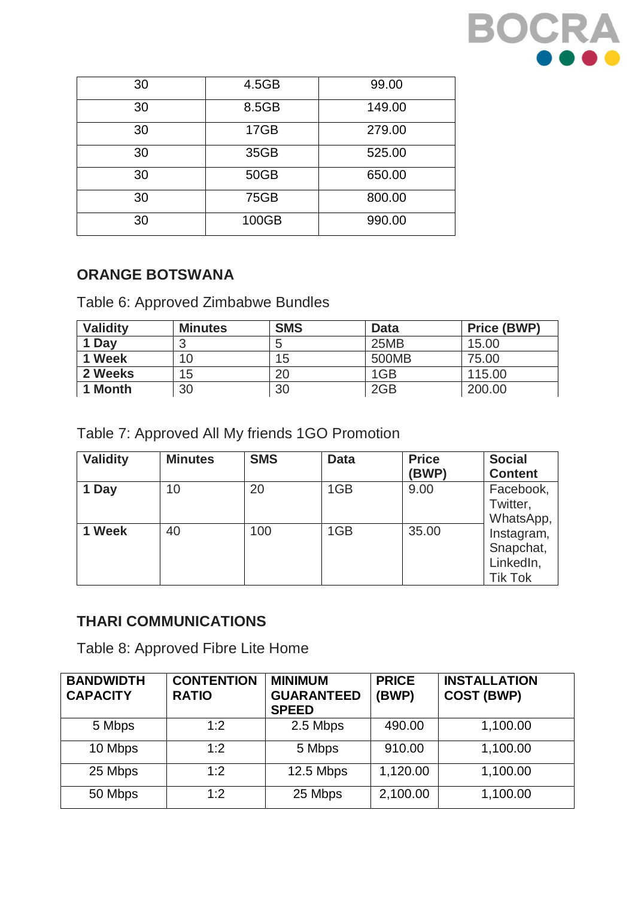

| 30 | 4.5GB       | 99.00  |
|----|-------------|--------|
| 30 | 8.5GB       | 149.00 |
| 30 | 17GB        | 279.00 |
| 30 | 35GB        | 525.00 |
| 30 | 50GB        | 650.00 |
| 30 | <b>75GB</b> | 800.00 |
| 30 | 100GB       | 990.00 |

## **ORANGE BOTSWANA**

Table 6: Approved Zimbabwe Bundles

| <b>Validity</b> | <b>Minutes</b> | <b>SMS</b> | <b>Data</b> | <b>Price (BWP)</b> |
|-----------------|----------------|------------|-------------|--------------------|
| 1 Day           |                |            | 25MB        | 15.00              |
| 1 Week          | 10             | 15         | 500MB       | 75.00              |
| 2 Weeks         | 15             | 20         | 1GB         | 115.00             |
| 1 Month         | 30             | 30         | 2GB         | 200.00             |

Table 7: Approved All My friends 1GO Promotion

| <b>Validity</b> | <b>Minutes</b> | <b>SMS</b> | <b>Data</b> | <b>Price</b><br>(BWP) | <b>Social</b><br><b>Content</b>                        |
|-----------------|----------------|------------|-------------|-----------------------|--------------------------------------------------------|
| 1 Day           | 10             | 20         | 1GB         | 9.00                  | Facebook,<br>Twitter,<br>WhatsApp,                     |
| 1 Week          | 40             | 100        | 1GB         | 35.00                 | Instagram,<br>Snapchat,<br>LinkedIn,<br><b>Tik Tok</b> |

# **THARI COMMUNICATIONS**

Table 8: Approved Fibre Lite Home

| <b>BANDWIDTH</b><br><b>CAPACITY</b> | <b>CONTENTION</b><br><b>RATIO</b> | <b>MINIMUM</b><br><b>GUARANTEED</b><br><b>SPEED</b> | <b>PRICE</b><br>(BWP) | <b>INSTALLATION</b><br><b>COST (BWP)</b> |
|-------------------------------------|-----------------------------------|-----------------------------------------------------|-----------------------|------------------------------------------|
| 5 Mbps                              | 1:2                               | 2.5 Mbps                                            | 490.00                | 1,100.00                                 |
| 10 Mbps                             | 1:2                               | 5 Mbps                                              | 910.00                | 1,100.00                                 |
| 25 Mbps                             | 1:2                               | 12.5 Mbps                                           | 1,120.00              | 1,100.00                                 |
| 50 Mbps                             | 1:2                               | 25 Mbps                                             | 2,100.00              | 1,100.00                                 |